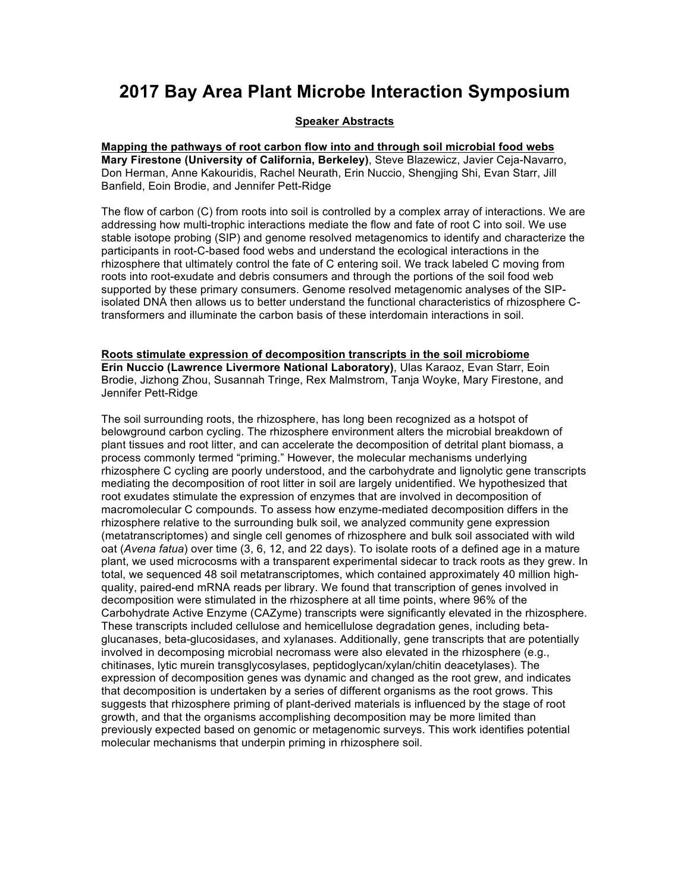# **2017 Bay Area Plant Microbe Interaction Symposium**

# **Speaker Abstracts**

**Mapping the pathways of root carbon flow into and through soil microbial food webs Mary Firestone (University of California, Berkeley)**, Steve Blazewicz, Javier Ceja-Navarro, Don Herman, Anne Kakouridis, Rachel Neurath, Erin Nuccio, Shengjing Shi, Evan Starr, Jill Banfield, Eoin Brodie, and Jennifer Pett-Ridge

The flow of carbon (C) from roots into soil is controlled by a complex array of interactions. We are addressing how multi-trophic interactions mediate the flow and fate of root C into soil. We use stable isotope probing (SIP) and genome resolved metagenomics to identify and characterize the participants in root-C-based food webs and understand the ecological interactions in the rhizosphere that ultimately control the fate of C entering soil. We track labeled C moving from roots into root-exudate and debris consumers and through the portions of the soil food web supported by these primary consumers. Genome resolved metagenomic analyses of the SIPisolated DNA then allows us to better understand the functional characteristics of rhizosphere Ctransformers and illuminate the carbon basis of these interdomain interactions in soil.

#### **Roots stimulate expression of decomposition transcripts in the soil microbiome Erin Nuccio (Lawrence Livermore National Laboratory)**, Ulas Karaoz, Evan Starr, Eoin Brodie, Jizhong Zhou, Susannah Tringe, Rex Malmstrom, Tanja Woyke, Mary Firestone, and Jennifer Pett-Ridge

The soil surrounding roots, the rhizosphere, has long been recognized as a hotspot of belowground carbon cycling. The rhizosphere environment alters the microbial breakdown of plant tissues and root litter, and can accelerate the decomposition of detrital plant biomass, a process commonly termed "priming." However, the molecular mechanisms underlying rhizosphere C cycling are poorly understood, and the carbohydrate and lignolytic gene transcripts mediating the decomposition of root litter in soil are largely unidentified. We hypothesized that root exudates stimulate the expression of enzymes that are involved in decomposition of macromolecular C compounds. To assess how enzyme-mediated decomposition differs in the rhizosphere relative to the surrounding bulk soil, we analyzed community gene expression (metatranscriptomes) and single cell genomes of rhizosphere and bulk soil associated with wild oat (*Avena fatua*) over time (3, 6, 12, and 22 days). To isolate roots of a defined age in a mature plant, we used microcosms with a transparent experimental sidecar to track roots as they grew. In total, we sequenced 48 soil metatranscriptomes, which contained approximately 40 million highquality, paired-end mRNA reads per library. We found that transcription of genes involved in decomposition were stimulated in the rhizosphere at all time points, where 96% of the Carbohydrate Active Enzyme (CAZyme) transcripts were significantly elevated in the rhizosphere. These transcripts included cellulose and hemicellulose degradation genes, including betaglucanases, beta-glucosidases, and xylanases. Additionally, gene transcripts that are potentially involved in decomposing microbial necromass were also elevated in the rhizosphere (e.g., chitinases, lytic murein transglycosylases, peptidoglycan/xylan/chitin deacetylases). The expression of decomposition genes was dynamic and changed as the root grew, and indicates that decomposition is undertaken by a series of different organisms as the root grows. This suggests that rhizosphere priming of plant-derived materials is influenced by the stage of root growth, and that the organisms accomplishing decomposition may be more limited than previously expected based on genomic or metagenomic surveys. This work identifies potential molecular mechanisms that underpin priming in rhizosphere soil.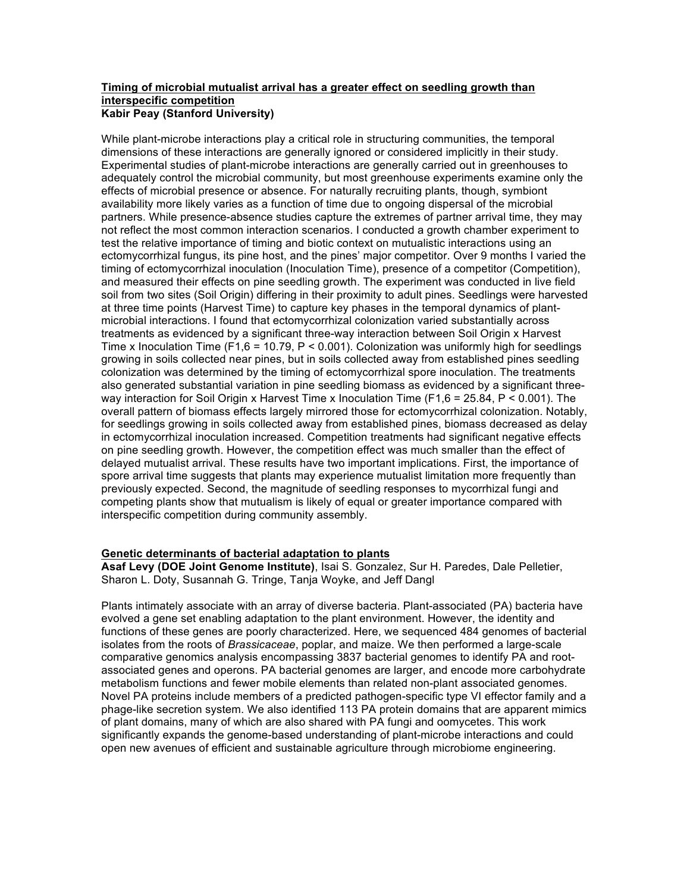# **Timing of microbial mutualist arrival has a greater effect on seedling growth than interspecific competition Kabir Peay (Stanford University)**

While plant-microbe interactions play a critical role in structuring communities, the temporal dimensions of these interactions are generally ignored or considered implicitly in their study. Experimental studies of plant-microbe interactions are generally carried out in greenhouses to adequately control the microbial community, but most greenhouse experiments examine only the effects of microbial presence or absence. For naturally recruiting plants, though, symbiont availability more likely varies as a function of time due to ongoing dispersal of the microbial partners. While presence-absence studies capture the extremes of partner arrival time, they may not reflect the most common interaction scenarios. I conducted a growth chamber experiment to test the relative importance of timing and biotic context on mutualistic interactions using an ectomycorrhizal fungus, its pine host, and the pines' major competitor. Over 9 months I varied the timing of ectomycorrhizal inoculation (Inoculation Time), presence of a competitor (Competition), and measured their effects on pine seedling growth. The experiment was conducted in live field soil from two sites (Soil Origin) differing in their proximity to adult pines. Seedlings were harvested at three time points (Harvest Time) to capture key phases in the temporal dynamics of plantmicrobial interactions. I found that ectomycorrhizal colonization varied substantially across treatments as evidenced by a significant three-way interaction between Soil Origin x Harvest Time x Inoculation Time (F1,6 = 10.79, P < 0.001). Colonization was uniformly high for seedlings growing in soils collected near pines, but in soils collected away from established pines seedling colonization was determined by the timing of ectomycorrhizal spore inoculation. The treatments also generated substantial variation in pine seedling biomass as evidenced by a significant threeway interaction for Soil Origin x Harvest Time x Inoculation Time (F1.6 = 25.84,  $P < 0.001$ ). The overall pattern of biomass effects largely mirrored those for ectomycorrhizal colonization. Notably, for seedlings growing in soils collected away from established pines, biomass decreased as delay in ectomycorrhizal inoculation increased. Competition treatments had significant negative effects on pine seedling growth. However, the competition effect was much smaller than the effect of delayed mutualist arrival. These results have two important implications. First, the importance of spore arrival time suggests that plants may experience mutualist limitation more frequently than previously expected. Second, the magnitude of seedling responses to mycorrhizal fungi and competing plants show that mutualism is likely of equal or greater importance compared with interspecific competition during community assembly.

### **Genetic determinants of bacterial adaptation to plants**

**Asaf Levy (DOE Joint Genome Institute)**, Isai S. Gonzalez, Sur H. Paredes, Dale Pelletier, Sharon L. Doty, Susannah G. Tringe, Tanja Woyke, and Jeff Dangl

Plants intimately associate with an array of diverse bacteria. Plant-associated (PA) bacteria have evolved a gene set enabling adaptation to the plant environment. However, the identity and functions of these genes are poorly characterized. Here, we sequenced 484 genomes of bacterial isolates from the roots of *Brassicaceae*, poplar, and maize. We then performed a large-scale comparative genomics analysis encompassing 3837 bacterial genomes to identify PA and rootassociated genes and operons. PA bacterial genomes are larger, and encode more carbohydrate metabolism functions and fewer mobile elements than related non-plant associated genomes. Novel PA proteins include members of a predicted pathogen-specific type VI effector family and a phage-like secretion system. We also identified 113 PA protein domains that are apparent mimics of plant domains, many of which are also shared with PA fungi and oomycetes. This work significantly expands the genome-based understanding of plant-microbe interactions and could open new avenues of efficient and sustainable agriculture through microbiome engineering.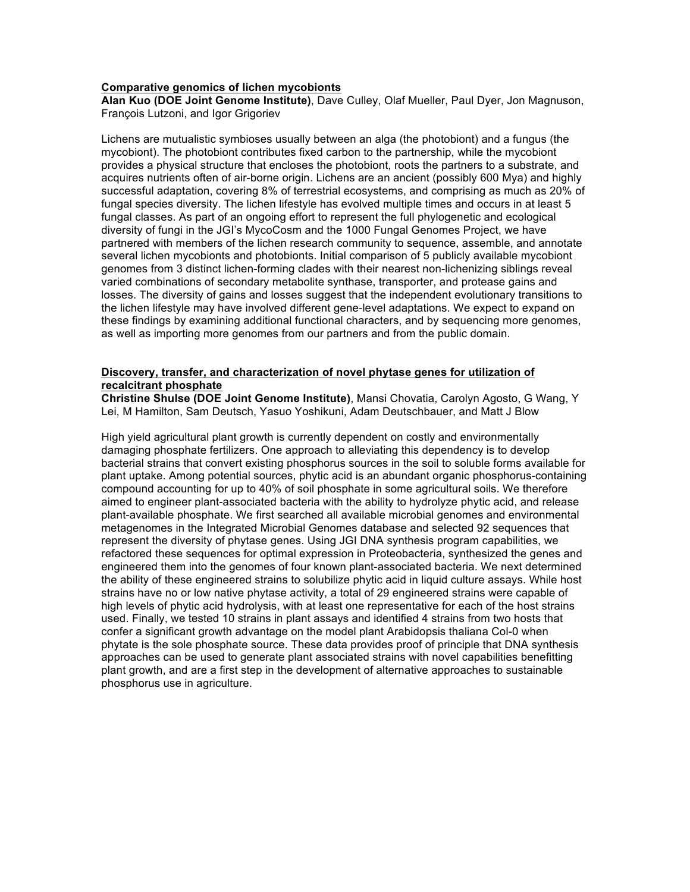#### **Comparative genomics of lichen mycobionts**

**Alan Kuo (DOE Joint Genome Institute)**, Dave Culley, Olaf Mueller, Paul Dyer, Jon Magnuson, François Lutzoni, and Igor Grigoriev

Lichens are mutualistic symbioses usually between an alga (the photobiont) and a fungus (the mycobiont). The photobiont contributes fixed carbon to the partnership, while the mycobiont provides a physical structure that encloses the photobiont, roots the partners to a substrate, and acquires nutrients often of air-borne origin. Lichens are an ancient (possibly 600 Mya) and highly successful adaptation, covering 8% of terrestrial ecosystems, and comprising as much as 20% of fungal species diversity. The lichen lifestyle has evolved multiple times and occurs in at least 5 fungal classes. As part of an ongoing effort to represent the full phylogenetic and ecological diversity of fungi in the JGI's MycoCosm and the 1000 Fungal Genomes Project, we have partnered with members of the lichen research community to sequence, assemble, and annotate several lichen mycobionts and photobionts. Initial comparison of 5 publicly available mycobiont genomes from 3 distinct lichen-forming clades with their nearest non-lichenizing siblings reveal varied combinations of secondary metabolite synthase, transporter, and protease gains and losses. The diversity of gains and losses suggest that the independent evolutionary transitions to the lichen lifestyle may have involved different gene-level adaptations. We expect to expand on these findings by examining additional functional characters, and by sequencing more genomes, as well as importing more genomes from our partners and from the public domain.

# **Discovery, transfer, and characterization of novel phytase genes for utilization of recalcitrant phosphate**

**Christine Shulse (DOE Joint Genome Institute)**, Mansi Chovatia, Carolyn Agosto, G Wang, Y Lei, M Hamilton, Sam Deutsch, Yasuo Yoshikuni, Adam Deutschbauer, and Matt J Blow

High yield agricultural plant growth is currently dependent on costly and environmentally damaging phosphate fertilizers. One approach to alleviating this dependency is to develop bacterial strains that convert existing phosphorus sources in the soil to soluble forms available for plant uptake. Among potential sources, phytic acid is an abundant organic phosphorus-containing compound accounting for up to 40% of soil phosphate in some agricultural soils. We therefore aimed to engineer plant-associated bacteria with the ability to hydrolyze phytic acid, and release plant-available phosphate. We first searched all available microbial genomes and environmental metagenomes in the Integrated Microbial Genomes database and selected 92 sequences that represent the diversity of phytase genes. Using JGI DNA synthesis program capabilities, we refactored these sequences for optimal expression in Proteobacteria, synthesized the genes and engineered them into the genomes of four known plant-associated bacteria. We next determined the ability of these engineered strains to solubilize phytic acid in liquid culture assays. While host strains have no or low native phytase activity, a total of 29 engineered strains were capable of high levels of phytic acid hydrolysis, with at least one representative for each of the host strains used. Finally, we tested 10 strains in plant assays and identified 4 strains from two hosts that confer a significant growth advantage on the model plant Arabidopsis thaliana Col-0 when phytate is the sole phosphate source. These data provides proof of principle that DNA synthesis approaches can be used to generate plant associated strains with novel capabilities benefitting plant growth, and are a first step in the development of alternative approaches to sustainable phosphorus use in agriculture.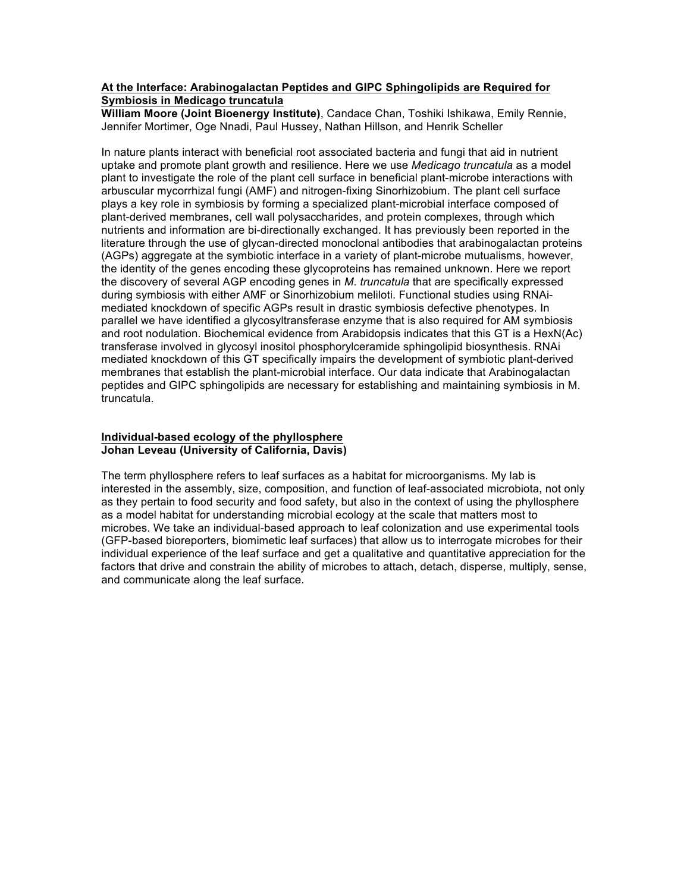## **At the Interface: Arabinogalactan Peptides and GIPC Sphingolipids are Required for Symbiosis in Medicago truncatula**

**William Moore (Joint Bioenergy Institute)**, Candace Chan, Toshiki Ishikawa, Emily Rennie, Jennifer Mortimer, Oge Nnadi, Paul Hussey, Nathan Hillson, and Henrik Scheller

In nature plants interact with beneficial root associated bacteria and fungi that aid in nutrient uptake and promote plant growth and resilience. Here we use *Medicago truncatula* as a model plant to investigate the role of the plant cell surface in beneficial plant-microbe interactions with arbuscular mycorrhizal fungi (AMF) and nitrogen-fixing Sinorhizobium. The plant cell surface plays a key role in symbiosis by forming a specialized plant-microbial interface composed of plant-derived membranes, cell wall polysaccharides, and protein complexes, through which nutrients and information are bi-directionally exchanged. It has previously been reported in the literature through the use of glycan-directed monoclonal antibodies that arabinogalactan proteins (AGPs) aggregate at the symbiotic interface in a variety of plant-microbe mutualisms, however, the identity of the genes encoding these glycoproteins has remained unknown. Here we report the discovery of several AGP encoding genes in *M. truncatula* that are specifically expressed during symbiosis with either AMF or Sinorhizobium meliloti. Functional studies using RNAimediated knockdown of specific AGPs result in drastic symbiosis defective phenotypes. In parallel we have identified a glycosyltransferase enzyme that is also required for AM symbiosis and root nodulation. Biochemical evidence from Arabidopsis indicates that this GT is a HexN(Ac) transferase involved in glycosyl inositol phosphorylceramide sphingolipid biosynthesis. RNAi mediated knockdown of this GT specifically impairs the development of symbiotic plant-derived membranes that establish the plant-microbial interface. Our data indicate that Arabinogalactan peptides and GIPC sphingolipids are necessary for establishing and maintaining symbiosis in M. truncatula.

# **Individual-based ecology of the phyllosphere Johan Leveau (University of California, Davis)**

The term phyllosphere refers to leaf surfaces as a habitat for microorganisms. My lab is interested in the assembly, size, composition, and function of leaf-associated microbiota, not only as they pertain to food security and food safety, but also in the context of using the phyllosphere as a model habitat for understanding microbial ecology at the scale that matters most to microbes. We take an individual-based approach to leaf colonization and use experimental tools (GFP-based bioreporters, biomimetic leaf surfaces) that allow us to interrogate microbes for their individual experience of the leaf surface and get a qualitative and quantitative appreciation for the factors that drive and constrain the ability of microbes to attach, detach, disperse, multiply, sense, and communicate along the leaf surface.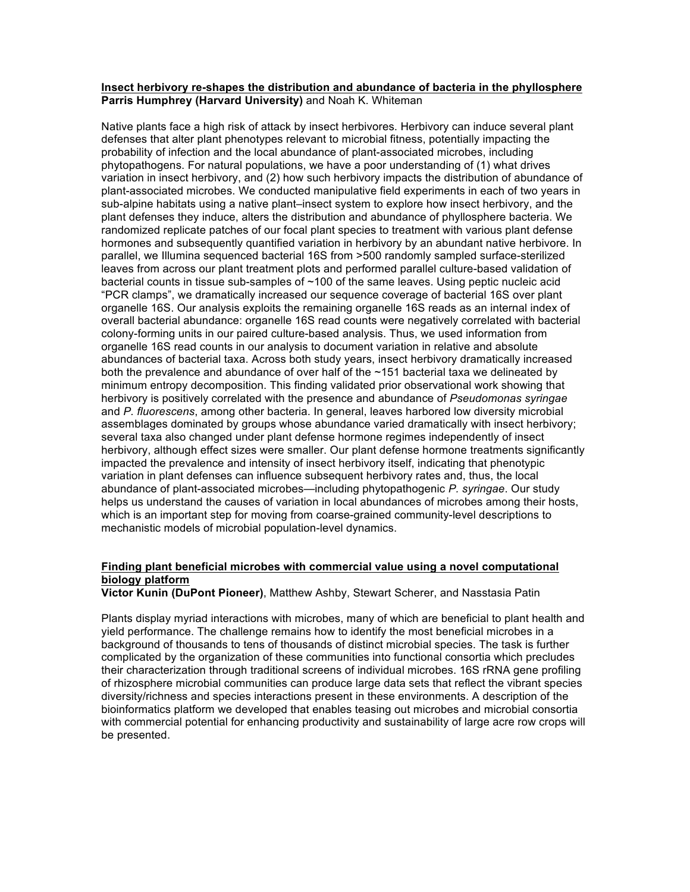#### **Insect herbivory re-shapes the distribution and abundance of bacteria in the phyllosphere Parris Humphrey (Harvard University)** and Noah K. Whiteman

Native plants face a high risk of attack by insect herbivores. Herbivory can induce several plant defenses that alter plant phenotypes relevant to microbial fitness, potentially impacting the probability of infection and the local abundance of plant-associated microbes, including phytopathogens. For natural populations, we have a poor understanding of (1) what drives variation in insect herbivory, and (2) how such herbivory impacts the distribution of abundance of plant-associated microbes. We conducted manipulative field experiments in each of two years in sub-alpine habitats using a native plant–insect system to explore how insect herbivory, and the plant defenses they induce, alters the distribution and abundance of phyllosphere bacteria. We randomized replicate patches of our focal plant species to treatment with various plant defense hormones and subsequently quantified variation in herbivory by an abundant native herbivore. In parallel, we Illumina sequenced bacterial 16S from >500 randomly sampled surface-sterilized leaves from across our plant treatment plots and performed parallel culture-based validation of bacterial counts in tissue sub-samples of ~100 of the same leaves. Using peptic nucleic acid "PCR clamps", we dramatically increased our sequence coverage of bacterial 16S over plant organelle 16S. Our analysis exploits the remaining organelle 16S reads as an internal index of overall bacterial abundance: organelle 16S read counts were negatively correlated with bacterial colony-forming units in our paired culture-based analysis. Thus, we used information from organelle 16S read counts in our analysis to document variation in relative and absolute abundances of bacterial taxa. Across both study years, insect herbivory dramatically increased both the prevalence and abundance of over half of the ~151 bacterial taxa we delineated by minimum entropy decomposition. This finding validated prior observational work showing that herbivory is positively correlated with the presence and abundance of *Pseudomonas syringae* and *P. fluorescens*, among other bacteria. In general, leaves harbored low diversity microbial assemblages dominated by groups whose abundance varied dramatically with insect herbivory; several taxa also changed under plant defense hormone regimes independently of insect herbivory, although effect sizes were smaller. Our plant defense hormone treatments significantly impacted the prevalence and intensity of insect herbivory itself, indicating that phenotypic variation in plant defenses can influence subsequent herbivory rates and, thus, the local abundance of plant-associated microbes—including phytopathogenic *P. syringae*. Our study helps us understand the causes of variation in local abundances of microbes among their hosts, which is an important step for moving from coarse-grained community-level descriptions to mechanistic models of microbial population-level dynamics.

## **Finding plant beneficial microbes with commercial value using a novel computational biology platform**

**Victor Kunin (DuPont Pioneer)**, Matthew Ashby, Stewart Scherer, and Nasstasia Patin

Plants display myriad interactions with microbes, many of which are beneficial to plant health and yield performance. The challenge remains how to identify the most beneficial microbes in a background of thousands to tens of thousands of distinct microbial species. The task is further complicated by the organization of these communities into functional consortia which precludes their characterization through traditional screens of individual microbes. 16S rRNA gene profiling of rhizosphere microbial communities can produce large data sets that reflect the vibrant species diversity/richness and species interactions present in these environments. A description of the bioinformatics platform we developed that enables teasing out microbes and microbial consortia with commercial potential for enhancing productivity and sustainability of large acre row crops will be presented.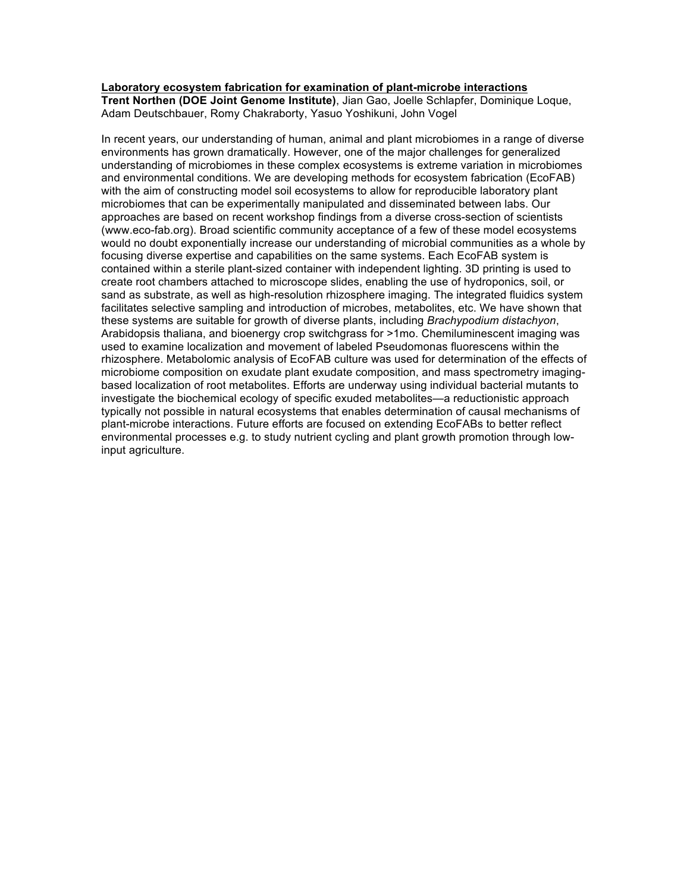## **Laboratory ecosystem fabrication for examination of plant-microbe interactions**

**Trent Northen (DOE Joint Genome Institute)**, Jian Gao, Joelle Schlapfer, Dominique Loque, Adam Deutschbauer, Romy Chakraborty, Yasuo Yoshikuni, John Vogel

In recent years, our understanding of human, animal and plant microbiomes in a range of diverse environments has grown dramatically. However, one of the major challenges for generalized understanding of microbiomes in these complex ecosystems is extreme variation in microbiomes and environmental conditions. We are developing methods for ecosystem fabrication (EcoFAB) with the aim of constructing model soil ecosystems to allow for reproducible laboratory plant microbiomes that can be experimentally manipulated and disseminated between labs. Our approaches are based on recent workshop findings from a diverse cross-section of scientists (www.eco-fab.org). Broad scientific community acceptance of a few of these model ecosystems would no doubt exponentially increase our understanding of microbial communities as a whole by focusing diverse expertise and capabilities on the same systems. Each EcoFAB system is contained within a sterile plant-sized container with independent lighting. 3D printing is used to create root chambers attached to microscope slides, enabling the use of hydroponics, soil, or sand as substrate, as well as high-resolution rhizosphere imaging. The integrated fluidics system facilitates selective sampling and introduction of microbes, metabolites, etc. We have shown that these systems are suitable for growth of diverse plants, including *Brachypodium distachyon*, Arabidopsis thaliana, and bioenergy crop switchgrass for >1mo. Chemiluminescent imaging was used to examine localization and movement of labeled Pseudomonas fluorescens within the rhizosphere. Metabolomic analysis of EcoFAB culture was used for determination of the effects of microbiome composition on exudate plant exudate composition, and mass spectrometry imagingbased localization of root metabolites. Efforts are underway using individual bacterial mutants to investigate the biochemical ecology of specific exuded metabolites—a reductionistic approach typically not possible in natural ecosystems that enables determination of causal mechanisms of plant-microbe interactions. Future efforts are focused on extending EcoFABs to better reflect environmental processes e.g. to study nutrient cycling and plant growth promotion through lowinput agriculture.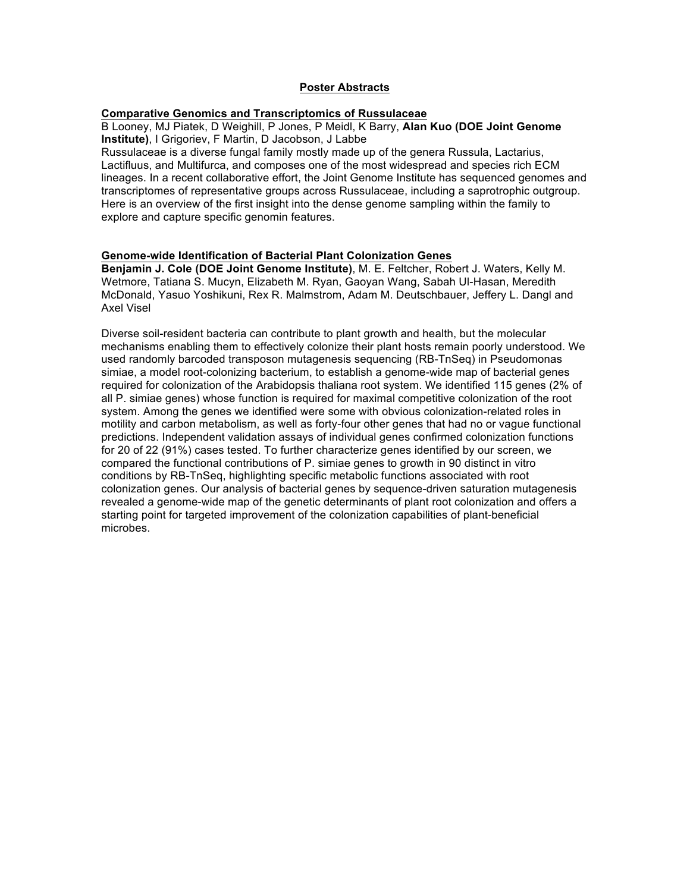#### **Poster Abstracts**

# **Comparative Genomics and Transcriptomics of Russulaceae**

B Looney, MJ Piatek, D Weighill, P Jones, P Meidl, K Barry, **Alan Kuo (DOE Joint Genome Institute)**, I Grigoriev, F Martin, D Jacobson, J Labbe

Russulaceae is a diverse fungal family mostly made up of the genera Russula, Lactarius, Lactifluus, and Multifurca, and composes one of the most widespread and species rich ECM lineages. In a recent collaborative effort, the Joint Genome Institute has sequenced genomes and transcriptomes of representative groups across Russulaceae, including a saprotrophic outgroup. Here is an overview of the first insight into the dense genome sampling within the family to explore and capture specific genomin features.

# **Genome-wide Identification of Bacterial Plant Colonization Genes**

**Benjamin J. Cole (DOE Joint Genome Institute)**, M. E. Feltcher, Robert J. Waters, Kelly M. Wetmore, Tatiana S. Mucyn, Elizabeth M. Ryan, Gaoyan Wang, Sabah Ul-Hasan, Meredith McDonald, Yasuo Yoshikuni, Rex R. Malmstrom, Adam M. Deutschbauer, Jeffery L. Dangl and Axel Visel

Diverse soil-resident bacteria can contribute to plant growth and health, but the molecular mechanisms enabling them to effectively colonize their plant hosts remain poorly understood. We used randomly barcoded transposon mutagenesis sequencing (RB-TnSeq) in Pseudomonas simiae, a model root-colonizing bacterium, to establish a genome-wide map of bacterial genes required for colonization of the Arabidopsis thaliana root system. We identified 115 genes (2% of all P. simiae genes) whose function is required for maximal competitive colonization of the root system. Among the genes we identified were some with obvious colonization-related roles in motility and carbon metabolism, as well as forty-four other genes that had no or vague functional predictions. Independent validation assays of individual genes confirmed colonization functions for 20 of 22 (91%) cases tested. To further characterize genes identified by our screen, we compared the functional contributions of P. simiae genes to growth in 90 distinct in vitro conditions by RB-TnSeq, highlighting specific metabolic functions associated with root colonization genes. Our analysis of bacterial genes by sequence-driven saturation mutagenesis revealed a genome-wide map of the genetic determinants of plant root colonization and offers a starting point for targeted improvement of the colonization capabilities of plant-beneficial microbes.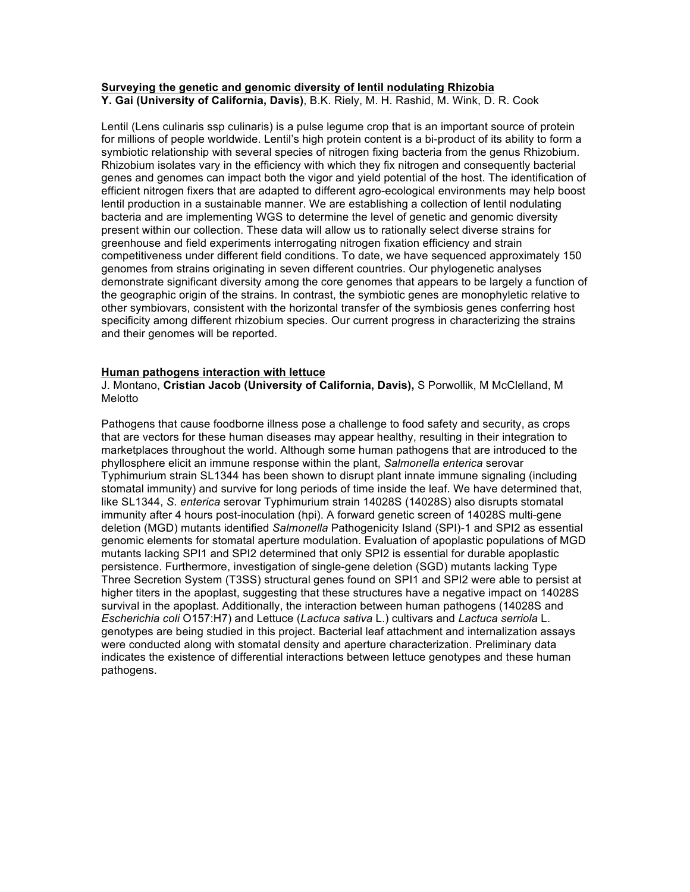# **Surveying the genetic and genomic diversity of lentil nodulating Rhizobia**

**Y. Gai (University of California, Davis)**, B.K. Riely, M. H. Rashid, M. Wink, D. R. Cook

Lentil (Lens culinaris ssp culinaris) is a pulse legume crop that is an important source of protein for millions of people worldwide. Lentil's high protein content is a bi-product of its ability to form a symbiotic relationship with several species of nitrogen fixing bacteria from the genus Rhizobium. Rhizobium isolates vary in the efficiency with which they fix nitrogen and consequently bacterial genes and genomes can impact both the vigor and yield potential of the host. The identification of efficient nitrogen fixers that are adapted to different agro-ecological environments may help boost lentil production in a sustainable manner. We are establishing a collection of lentil nodulating bacteria and are implementing WGS to determine the level of genetic and genomic diversity present within our collection. These data will allow us to rationally select diverse strains for greenhouse and field experiments interrogating nitrogen fixation efficiency and strain competitiveness under different field conditions. To date, we have sequenced approximately 150 genomes from strains originating in seven different countries. Our phylogenetic analyses demonstrate significant diversity among the core genomes that appears to be largely a function of the geographic origin of the strains. In contrast, the symbiotic genes are monophyletic relative to other symbiovars, consistent with the horizontal transfer of the symbiosis genes conferring host specificity among different rhizobium species. Our current progress in characterizing the strains and their genomes will be reported.

### **Human pathogens interaction with lettuce**

J. Montano, **Cristian Jacob (University of California, Davis),** S Porwollik, M McClelland, M Melotto

Pathogens that cause foodborne illness pose a challenge to food safety and security, as crops that are vectors for these human diseases may appear healthy, resulting in their integration to marketplaces throughout the world. Although some human pathogens that are introduced to the phyllosphere elicit an immune response within the plant, *Salmonella enterica* serovar Typhimurium strain SL1344 has been shown to disrupt plant innate immune signaling (including stomatal immunity) and survive for long periods of time inside the leaf. We have determined that, like SL1344, *S. enterica* serovar Typhimurium strain 14028S (14028S) also disrupts stomatal immunity after 4 hours post-inoculation (hpi). A forward genetic screen of 14028S multi-gene deletion (MGD) mutants identified *Salmonella* Pathogenicity Island (SPI)-1 and SPI2 as essential genomic elements for stomatal aperture modulation. Evaluation of apoplastic populations of MGD mutants lacking SPI1 and SPI2 determined that only SPI2 is essential for durable apoplastic persistence. Furthermore, investigation of single-gene deletion (SGD) mutants lacking Type Three Secretion System (T3SS) structural genes found on SPI1 and SPI2 were able to persist at higher titers in the apoplast, suggesting that these structures have a negative impact on 14028S survival in the apoplast. Additionally, the interaction between human pathogens (14028S and *Escherichia coli* O157:H7) and Lettuce (*Lactuca sativa* L.) cultivars and *Lactuca serriola* L. genotypes are being studied in this project. Bacterial leaf attachment and internalization assays were conducted along with stomatal density and aperture characterization. Preliminary data indicates the existence of differential interactions between lettuce genotypes and these human pathogens.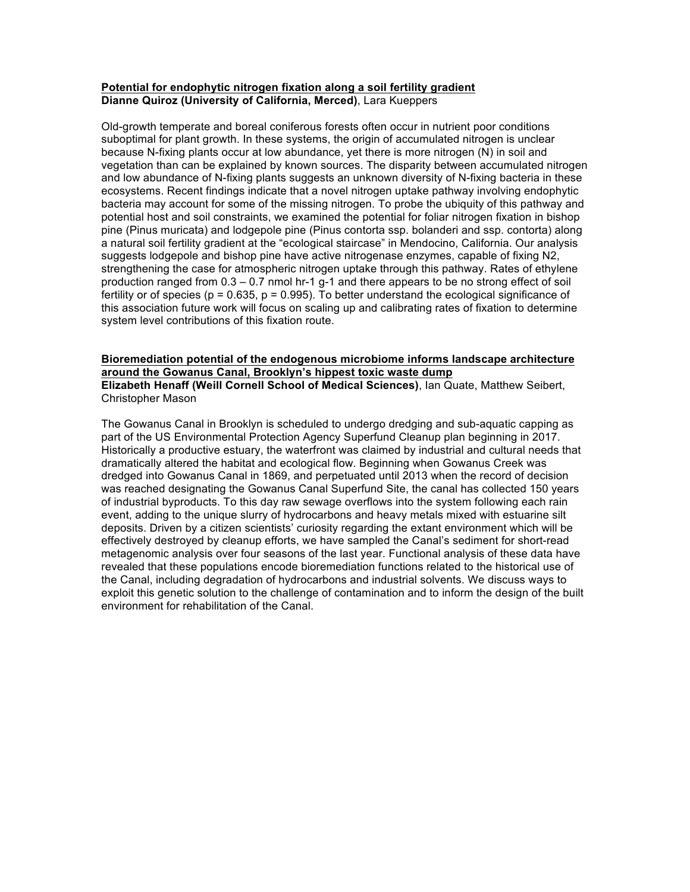## **Potential for endophytic nitrogen fixation along a soil fertility gradient Dianne Quiroz (University of California, Merced)**, Lara Kueppers

Old-growth temperate and boreal coniferous forests often occur in nutrient poor conditions suboptimal for plant growth. In these systems, the origin of accumulated nitrogen is unclear because N-fixing plants occur at low abundance, yet there is more nitrogen (N) in soil and vegetation than can be explained by known sources. The disparity between accumulated nitrogen and low abundance of N-fixing plants suggests an unknown diversity of N-fixing bacteria in these ecosystems. Recent findings indicate that a novel nitrogen uptake pathway involving endophytic bacteria may account for some of the missing nitrogen. To probe the ubiquity of this pathway and potential host and soil constraints, we examined the potential for foliar nitrogen fixation in bishop pine (Pinus muricata) and lodgepole pine (Pinus contorta ssp. bolanderi and ssp. contorta) along a natural soil fertility gradient at the "ecological staircase" in Mendocino, California. Our analysis suggests lodgepole and bishop pine have active nitrogenase enzymes, capable of fixing N2, strengthening the case for atmospheric nitrogen uptake through this pathway. Rates of ethylene production ranged from 0.3 – 0.7 nmol hr-1 g-1 and there appears to be no strong effect of soil fertility or of species ( $p = 0.635$ ,  $p = 0.995$ ). To better understand the ecological significance of this association future work will focus on scaling up and calibrating rates of fixation to determine system level contributions of this fixation route.

#### **Bioremediation potential of the endogenous microbiome informs landscape architecture around the Gowanus Canal, Brooklyn's hippest toxic waste dump Elizabeth Henaff (Weill Cornell School of Medical Sciences)**, Ian Quate, Matthew Seibert, Christopher Mason

The Gowanus Canal in Brooklyn is scheduled to undergo dredging and sub-aquatic capping as part of the US Environmental Protection Agency Superfund Cleanup plan beginning in 2017. Historically a productive estuary, the waterfront was claimed by industrial and cultural needs that dramatically altered the habitat and ecological flow. Beginning when Gowanus Creek was dredged into Gowanus Canal in 1869, and perpetuated until 2013 when the record of decision was reached designating the Gowanus Canal Superfund Site, the canal has collected 150 years of industrial byproducts. To this day raw sewage overflows into the system following each rain event, adding to the unique slurry of hydrocarbons and heavy metals mixed with estuarine silt deposits. Driven by a citizen scientists' curiosity regarding the extant environment which will be effectively destroyed by cleanup efforts, we have sampled the Canal's sediment for short-read metagenomic analysis over four seasons of the last year. Functional analysis of these data have revealed that these populations encode bioremediation functions related to the historical use of the Canal, including degradation of hydrocarbons and industrial solvents. We discuss ways to exploit this genetic solution to the challenge of contamination and to inform the design of the built environment for rehabilitation of the Canal.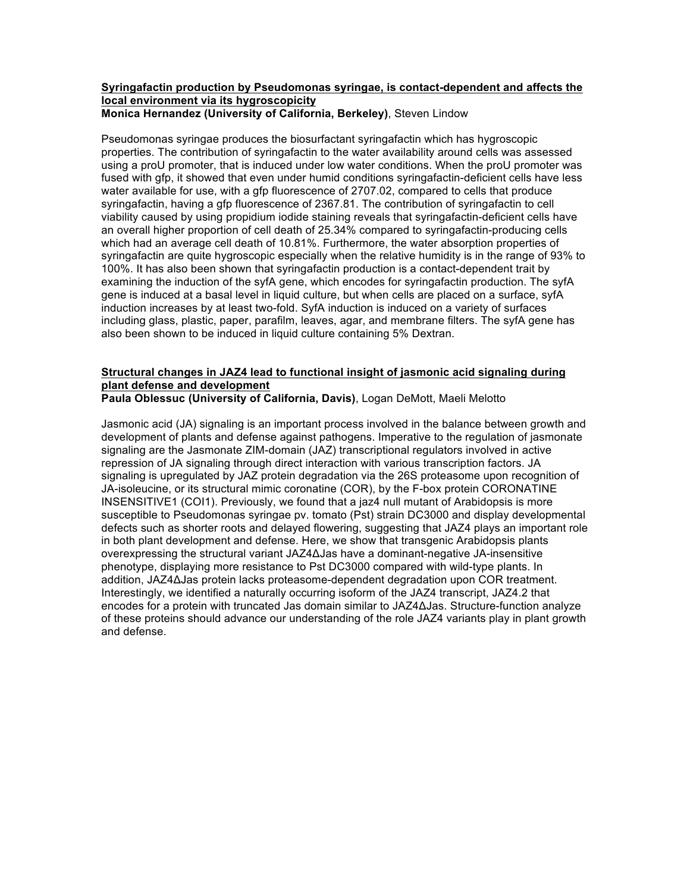#### **Syringafactin production by Pseudomonas syringae, is contact-dependent and affects the local environment via its hygroscopicity Monica Hernandez (University of California, Berkeley)**, Steven Lindow

Pseudomonas syringae produces the biosurfactant syringafactin which has hygroscopic properties. The contribution of syringafactin to the water availability around cells was assessed using a proU promoter, that is induced under low water conditions. When the proU promoter was fused with gfp, it showed that even under humid conditions syringafactin-deficient cells have less water available for use, with a gfp fluorescence of 2707.02, compared to cells that produce syringafactin, having a gfp fluorescence of 2367.81. The contribution of syringafactin to cell viability caused by using propidium iodide staining reveals that syringafactin-deficient cells have an overall higher proportion of cell death of 25.34% compared to syringafactin-producing cells which had an average cell death of 10.81%. Furthermore, the water absorption properties of syringafactin are quite hygroscopic especially when the relative humidity is in the range of 93% to 100%. It has also been shown that syringafactin production is a contact-dependent trait by examining the induction of the syfA gene, which encodes for syringafactin production. The syfA gene is induced at a basal level in liquid culture, but when cells are placed on a surface, syfA induction increases by at least two-fold. SyfA induction is induced on a variety of surfaces including glass, plastic, paper, parafilm, leaves, agar, and membrane filters. The syfA gene has also been shown to be induced in liquid culture containing 5% Dextran.

# **Structural changes in JAZ4 lead to functional insight of jasmonic acid signaling during plant defense and development**

**Paula Oblessuc (University of California, Davis)**, Logan DeMott, Maeli Melotto

Jasmonic acid (JA) signaling is an important process involved in the balance between growth and development of plants and defense against pathogens. Imperative to the regulation of jasmonate signaling are the Jasmonate ZIM-domain (JAZ) transcriptional regulators involved in active repression of JA signaling through direct interaction with various transcription factors. JA signaling is upregulated by JAZ protein degradation via the 26S proteasome upon recognition of JA-isoleucine, or its structural mimic coronatine (COR), by the F-box protein CORONATINE INSENSITIVE1 (COI1). Previously, we found that a jaz4 null mutant of Arabidopsis is more susceptible to Pseudomonas syringae pv. tomato (Pst) strain DC3000 and display developmental defects such as shorter roots and delayed flowering, suggesting that JAZ4 plays an important role in both plant development and defense. Here, we show that transgenic Arabidopsis plants overexpressing the structural variant JAZ4ΔJas have a dominant-negative JA-insensitive phenotype, displaying more resistance to Pst DC3000 compared with wild-type plants. In addition, JAZ4ΔJas protein lacks proteasome-dependent degradation upon COR treatment. Interestingly, we identified a naturally occurring isoform of the JAZ4 transcript, JAZ4.2 that encodes for a protein with truncated Jas domain similar to JAZ4ΔJas. Structure-function analyze of these proteins should advance our understanding of the role JAZ4 variants play in plant growth and defense.